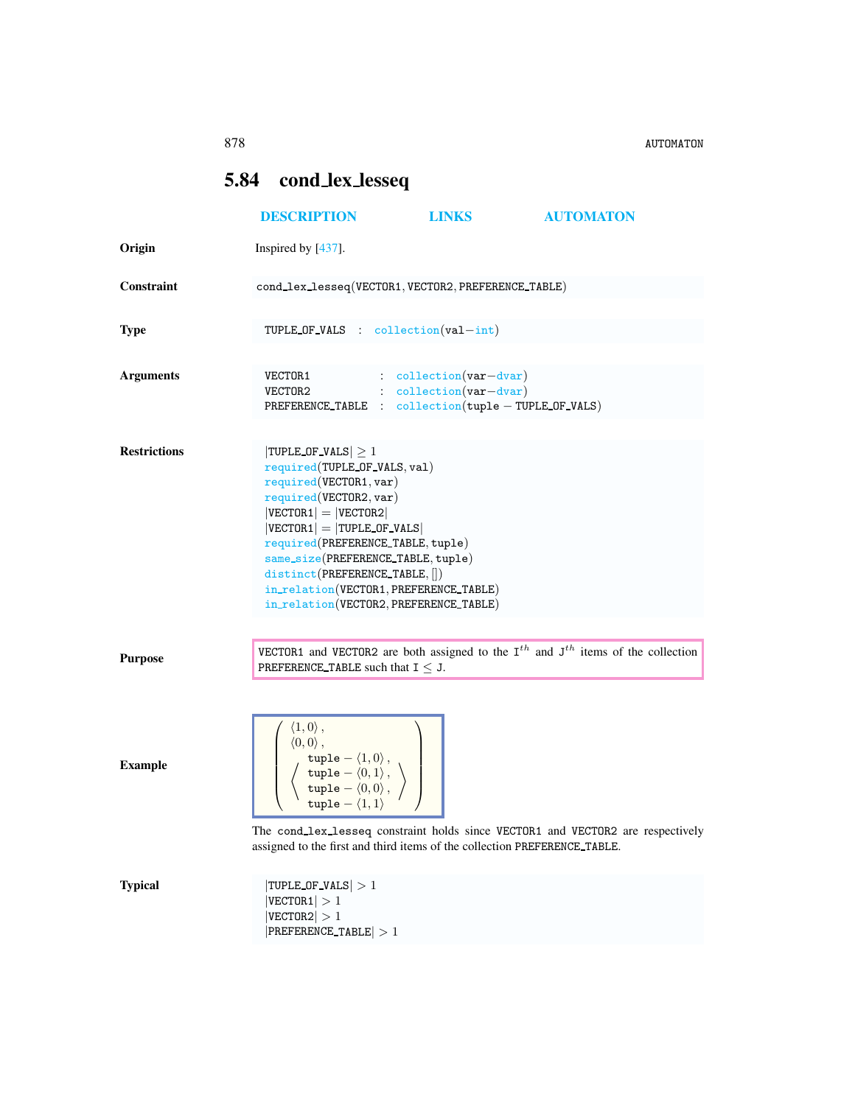## <span id="page-0-0"></span>5.84 cond lex lesseq

|                     | <b>DESCRIPTION</b>                                                                                                                                                                                                                                                                     | <b>LINKS</b>                                                                                                                          | <b>AUTOMATON</b>                                                                           |
|---------------------|----------------------------------------------------------------------------------------------------------------------------------------------------------------------------------------------------------------------------------------------------------------------------------------|---------------------------------------------------------------------------------------------------------------------------------------|--------------------------------------------------------------------------------------------|
| Origin              | Inspired by $[437]$ .                                                                                                                                                                                                                                                                  |                                                                                                                                       |                                                                                            |
| <b>Constraint</b>   |                                                                                                                                                                                                                                                                                        | cond_lex_lesseq(VECTOR1, VECTOR2, PREFERENCE_TABLE)                                                                                   |                                                                                            |
| <b>Type</b>         |                                                                                                                                                                                                                                                                                        | TUPLE_OF_VALS : $\text{collection}(val-int)$                                                                                          |                                                                                            |
| <b>Arguments</b>    |                                                                                                                                                                                                                                                                                        | $VECTOR1$ : collection(var-dvar)<br>$VECTOR2$ : $\text{collection}(var-dvar)$<br>PREFERENCE_TABLE : collection(tuple - TUPLE_OF_VALS) |                                                                                            |
| <b>Restrictions</b> | $ TUPLE_OF_VALS  \geq 1$<br>required(TUPLE_OF_VALS, val)<br>required(VECTOR1, var)<br>required(VECTOR2, var)<br>$ VECTOR1  =  VECTOR2 $<br>$ VECTOR1  =  T UPLE_OF_VALS $<br>required(PREFERENCE_TABLE, tuple)<br>same_size(PREFERENCE_TABLE, tuple)<br>distinct(PREFERENCE_TABLE, []) | in_relation(VECTOR1, PREFERENCE_TABLE)<br>in_relation(VECTOR2, PREFERENCE_TABLE)                                                      |                                                                                            |
| <b>Purpose</b>      | PREFERENCE_TABLE such that $I \leq J$ .                                                                                                                                                                                                                                                |                                                                                                                                       | VECTOR1 and VECTOR2 are both assigned to the $I^{th}$ and $J^{th}$ items of the collection |
| <b>Example</b>      | $\langle 1,0\rangle$ ,<br>$\langle 0,0\rangle$ ,<br>$\left\{\begin{array}{l} \texttt{tuple} = \langle 1, 0 \rangle\,, \ \texttt{tuple} = \langle 0, 1 \rangle\,, \ \texttt{tuple} = \langle 0, 0 \rangle\,, \ \texttt{tuple} = \langle 1, 1 \rangle \end{array}\right.$                | assigned to the first and third items of the collection PREFERENCE_TABLE.                                                             | The cond_lex_lesseq constraint holds since VECTOR1 and VECTOR2 are respectively            |
| <b>Typical</b>      | $ TUPLE_0F_VALS  > 1$<br>$ {\tt VECTOR1}  > 1$<br> VECTOR2  > 1<br>$ PREFERENCE\_TABLE  > 1$                                                                                                                                                                                           |                                                                                                                                       |                                                                                            |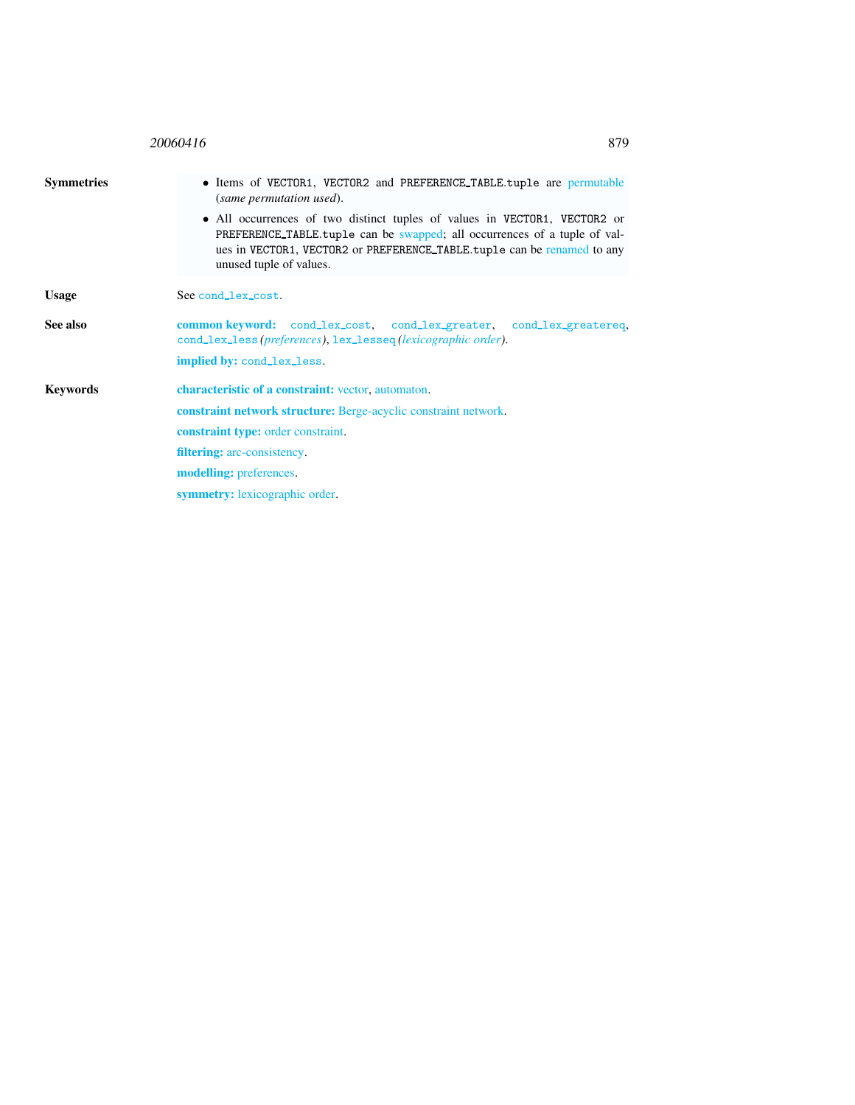<span id="page-1-0"></span>

|                   | 20060416<br>879                                                                                                                                                                                                                                                                                                                                                   |  |  |  |
|-------------------|-------------------------------------------------------------------------------------------------------------------------------------------------------------------------------------------------------------------------------------------------------------------------------------------------------------------------------------------------------------------|--|--|--|
| <b>Symmetries</b> | • Items of VECTOR1, VECTOR2 and PREFERENCE_TABLE.tuple are permutable<br>(same permutation used).<br>• All occurrences of two distinct tuples of values in VECTOR1, VECTOR2 or<br>PREFERENCE TABLE tuple can be swapped; all occurrences of a tuple of val-<br>ues in VECTOR1, VECTOR2 or PREFERENCE_TABLE.tuple can be renamed to any<br>unused tuple of values. |  |  |  |
| <b>Usage</b>      | See cond_lex_cost.                                                                                                                                                                                                                                                                                                                                                |  |  |  |
| See also          | common keyword: cond_lex_cost, cond_lex_greater, cond_lex_greatereq,<br>cond_lex_less(preferences), lex_lesseq(lexicographic order).                                                                                                                                                                                                                              |  |  |  |
|                   | implied by: cond_lex_less.                                                                                                                                                                                                                                                                                                                                        |  |  |  |
| <b>Keywords</b>   | characteristic of a constraint: vector, automaton.                                                                                                                                                                                                                                                                                                                |  |  |  |
|                   | <b>constraint network structure:</b> Berge-acyclic constraint network.                                                                                                                                                                                                                                                                                            |  |  |  |
|                   | <b>constraint type:</b> order constraint.                                                                                                                                                                                                                                                                                                                         |  |  |  |
|                   | <b>filtering:</b> arc-consistency.                                                                                                                                                                                                                                                                                                                                |  |  |  |
|                   | <b>modelling:</b> preferences.                                                                                                                                                                                                                                                                                                                                    |  |  |  |
|                   | <b>symmetry:</b> lexicographic order.                                                                                                                                                                                                                                                                                                                             |  |  |  |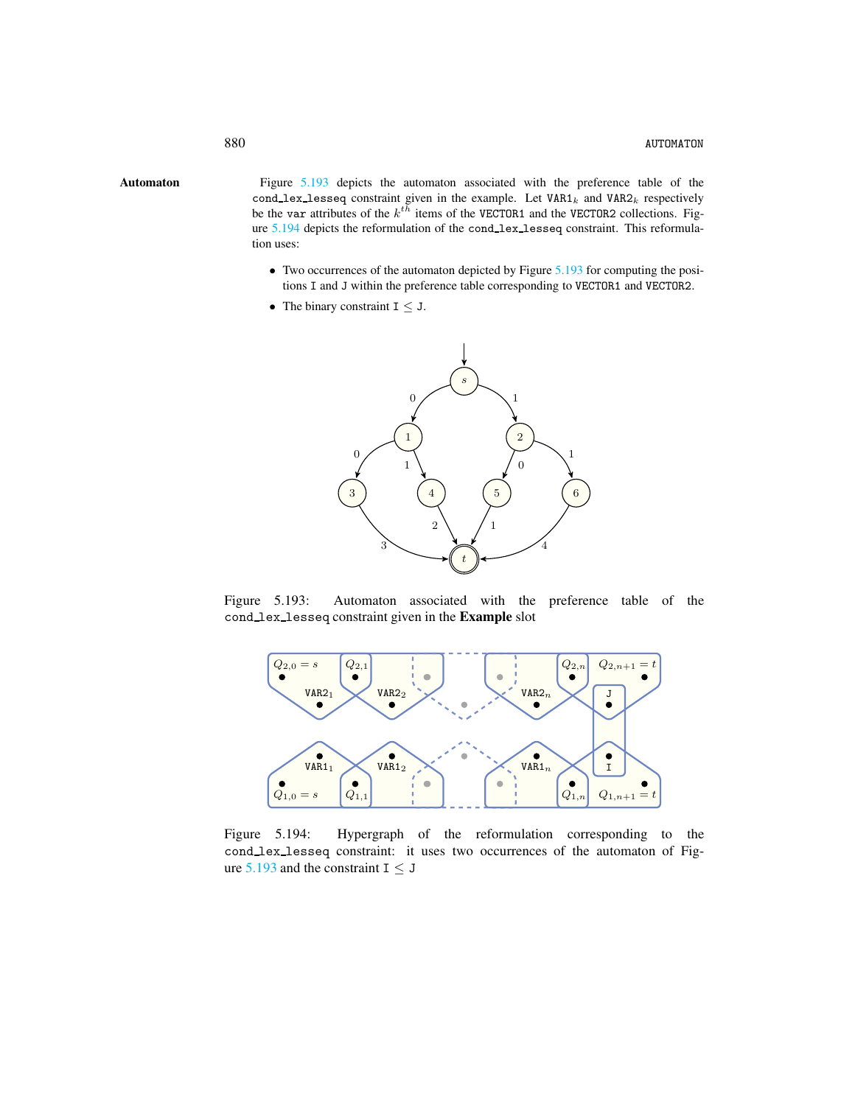Automaton Figure [5.193](#page-2-1) depicts the automaton associated with the preference table of the cond\_lex\_lesseq constraint given in the example. Let  $VAR1_k$  and  $VAR2_k$  respectively be the var attributes of the  $k^{th}$  items of the VECTOR1 and the VECTOR2 collections. Figure [5.194](#page-2-2) depicts the reformulation of the cond lex lesseq constraint. This reformulation uses:

- <span id="page-2-0"></span>• Two occurrences of the automaton depicted by Figure [5.193](#page-2-1) for computing the positions I and J within the preference table corresponding to VECTOR1 and VECTOR2.
- The binary constraint  $I \leq J$ .



Figure 5.193: Automaton associated with the preference table of the cond lex lesseq constraint given in the Example slot

<span id="page-2-1"></span>

<span id="page-2-2"></span>Figure 5.194: Hypergraph of the reformulation corresponding to the cond lex lesseq constraint: it uses two occurrences of the automaton of Figure  $5.193$  and the constraint I  $\leq$  J